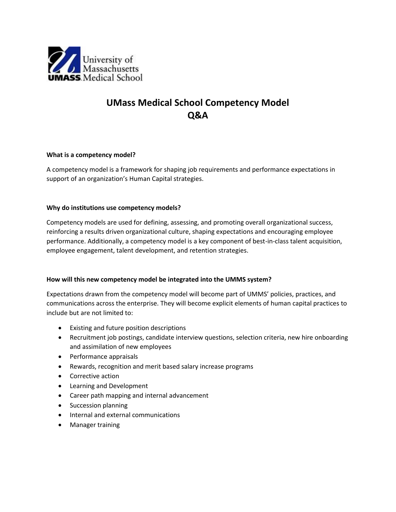

# **UMass Medical School Competency Model Q&A**

### **What is a competency model?**

A competency model is a framework for shaping job requirements and performance expectations in support of an organization's Human Capital strategies.

## **Why do institutions use competency models?**

Competency models are used for defining, assessing, and promoting overall organizational success, reinforcing a results driven organizational culture, shaping expectations and encouraging employee performance. Additionally, a competency model is a key component of best-in-class talent acquisition, employee engagement, talent development, and retention strategies.

# **How will this new competency model be integrated into the UMMS system?**

Expectations drawn from the competency model will become part of UMMS' policies, practices, and communications across the enterprise. They will become explicit elements of human capital practices to include but are not limited to:

- Existing and future position descriptions
- Recruitment job postings, candidate interview questions, selection criteria, new hire onboarding and assimilation of new employees
- Performance appraisals
- Rewards, recognition and merit based salary increase programs
- Corrective action
- Learning and Development
- Career path mapping and internal advancement
- Succession planning
- Internal and external communications
- Manager training